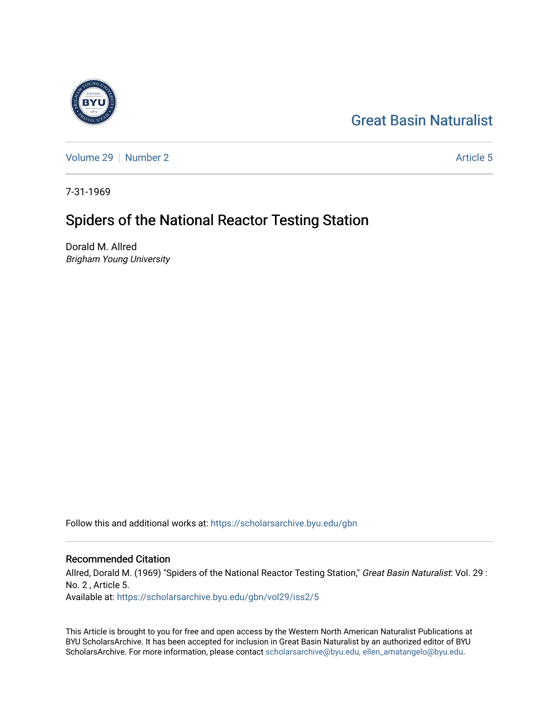# [Great Basin Naturalist](https://scholarsarchive.byu.edu/gbn)

[Volume 29](https://scholarsarchive.byu.edu/gbn/vol29) [Number 2](https://scholarsarchive.byu.edu/gbn/vol29/iss2) Article 5

7-31-1969

# Spiders of the National Reactor Testing Station

Dorald M. Allred Brigham Young University

Follow this and additional works at: [https://scholarsarchive.byu.edu/gbn](https://scholarsarchive.byu.edu/gbn?utm_source=scholarsarchive.byu.edu%2Fgbn%2Fvol29%2Fiss2%2F5&utm_medium=PDF&utm_campaign=PDFCoverPages) 

## Recommended Citation

Allred, Dorald M. (1969) "Spiders of the National Reactor Testing Station," Great Basin Naturalist: Vol. 29 : No. 2 , Article 5. Available at: [https://scholarsarchive.byu.edu/gbn/vol29/iss2/5](https://scholarsarchive.byu.edu/gbn/vol29/iss2/5?utm_source=scholarsarchive.byu.edu%2Fgbn%2Fvol29%2Fiss2%2F5&utm_medium=PDF&utm_campaign=PDFCoverPages)

This Article is brought to you for free and open access by the Western North American Naturalist Publications at BYU ScholarsArchive. It has been accepted for inclusion in Great Basin Naturalist by an authorized editor of BYU ScholarsArchive. For more information, please contact [scholarsarchive@byu.edu, ellen\\_amatangelo@byu.edu.](mailto:scholarsarchive@byu.edu,%20ellen_amatangelo@byu.edu)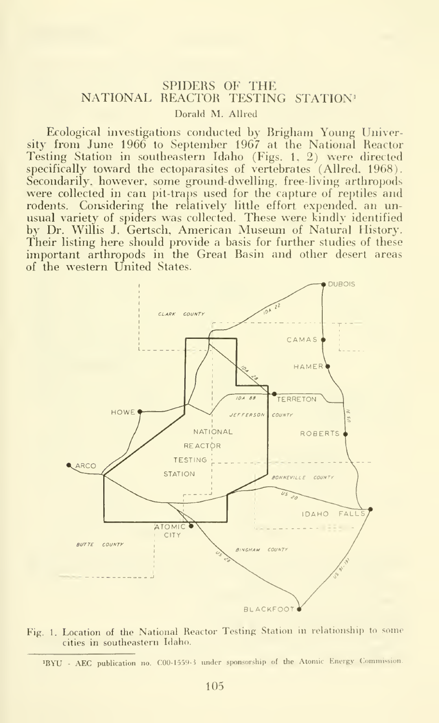### SPIDERS OF THE NATIONAL REACTOR TESTING STATION" Dorald M. AUred

Ecological investigations conducted by Rrigham Young University from June 1966 to September 1967 at the National Reactor Testing Station in southeastern Idaho (Figs. 1. 2) were directed specifically toward the ectoparasites of vertebrates (Allred. 1968). Secondarily, however, some ground-dwelling, free-living arthropods were collected in can pit-traps used for the capture of reptiles and rodents. Considering the relatively little effort expended, an unusual variety of spiders was collected. These were kindly identified by Dr. Willis J. Gertsch, American Museum of Natural History. Their listing here should provide a basis for further studies of these important arthropods in the Great Basin and other desert areas of the western United States.





<sup>&#</sup>x27;BYU - AEC publication no. C00-1559-3 under sponsorship of the Atomic Energy Commission.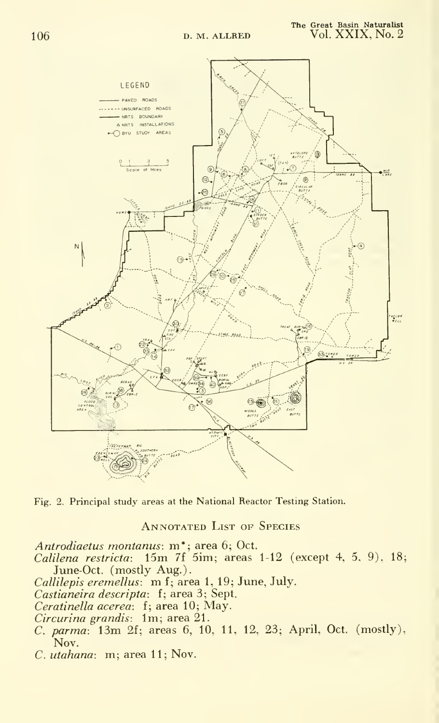

Fig. 2. Principal study areas at the National Reactor Testing Station.

ANNOTATED LIST OF SPECIES

Antrodiaetus montanus: m\*; area 6; Oct.

 $Calilena \enskip restrica: \enskip 15m \enskip 7f \enskip 5im; \enskip areas \enskip 1-12 \enskip (except \enskip 4, \enskip 5, \enskip 9), \enskip 18;$ June-Oct. (mostly Aug.).

Callilepis eremellus. m f; area 1,19; June, July.

Castianeira descripta: f; area 3; Sept.

Ceratinella acerea: f; area 10; May.

Circurina grandis: Im; area 21.

- C. parma: 13m 2f; areas 6, 10, 11, 12, 23; April, Oct. (mostly), Nov.
- C. utahana: m; area 11; Nov.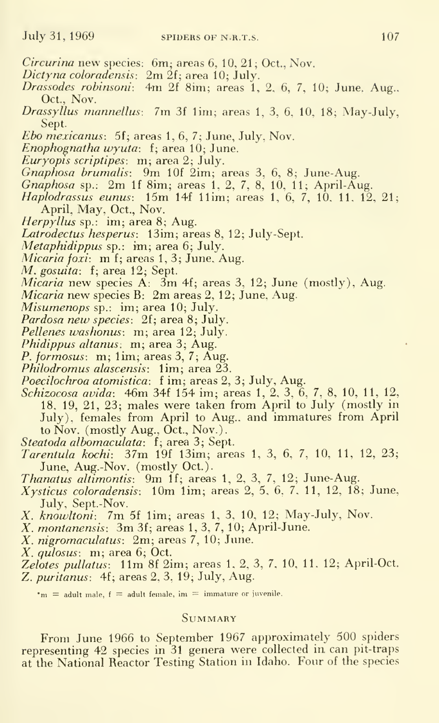- Circurina new species: 6m; areas 6, 10, 21 ; Oct., Nov.
- Dictyna coloradensis:  $2m \hat{2}f$ ; area 10; July.
- Drassodes robinsoni: 4m 2f Sim; areas 1, 2. 6, 7, 10; June. Aug.. Oct., Nov.
- Drassyllus mannellus: 7m 3f lim; areas 1, 3, 6, 10. 18; May-July, Sept.
- *Ebo mexicanus*: 5f; areas  $1, 6, 7$ ; June, July, Nov.
- Enophognatha wyuta: f; area 10; June.
- Euryopis scriptipes: m; area 2; July.
- Gnaphosa brumalis: 9m lOf 2im; areas 3, 6, 8; June-Aug.
- Gnaphosa sp.: 2m If 8im; areas 1, 2, 7, 8, 10, 11; April-Aug.
- Haplodrassus eunus: 15m 14f llim; areas 1. 6, 7, 10. 11. 12, 21; April, May. Oct., Nov.
- Herpyllus sp.: im; area 8; Aug.
- Latrodectus hesperus: 13im; areas 8, 12; July-Sept.
- Metaphidippus sp.: im; area 6; July.
- Micaria foxi: m f; areas 1, 3; June, Aug.
- M. gosuita: f; area 12; Sept.
- $Micaria$  new species  $A$ :  $3m$  4f; areas 3, 12; June (mostly), Aug.
- Micaria new species B: 2m areas 2, 12; June, Aug.
- Misumenops sp.: im; area 10; July.
- Pardosa new species: 2f; area 8; July.
- Pellenes washonus: m; area 12; July.
- Phidippus altanus: m; area 3; Aug.
- P. formosus: m; lim; areas 3, 7; Aug.
- Philodromus alascensis: 1im; area 23.
- Poecilochroa atomistica: <sup>f</sup> im; areas 2, 3; July, Aug.
- Schizocosa avida: 46m 34f 154 im; areas 1, 2, 3. 6, 7, 8, 10, 11, 12, 18, 19, 21, 23; males were taken from April to July (mostly in July), females from April to Aug., and immatures from April to Nov. (mostly Aug., Oct., Nov.).
- Steatoda albomaculata: f; area 3; Sept.
- Tarentula kochi: 37m 19f 13im; areas 1, 3, 6, 7, 10, 11, 12, 23; June, Aug.-Nov. (mostly Oct.).
- Thanatus altimontis: 9m If; areas 1, 2, 3, 7, 12; June-Aug.
- $X$ ysticus coloradensis: 10m 1im; areas  $2, 5, 6, 7, 11, 12, 18$ ; June, July, Sept.-Nov.
- X. knowltoni: 7m 5f lim; areas 1, 3. 10, 12; May-July, Nov.
- X. montanensis: 3m 3f; areas 1, 3, 7, 10; April-June.
- X. nigromaculatus: 2m; areas 7, 10; June.
- X. qulosus: m; area 6; Oct.
- Zelotes pullatus: 11m 8f 2im; areas 1. 2, 3, 7, 10, 11, 12; April-Oct. Z. puritanus: 4f; areas 2, 3, 19; July, Aug.

 $m =$  adult male,  $f =$  adult female, im  $=$  immature or juvenile.

#### Summary

From June 1966 to September 1967 approximately 500 spiders representing 42 species in 31 genera were collected in. can pit-traps at the National Reactor Testing Station in Idaho. Four of the species